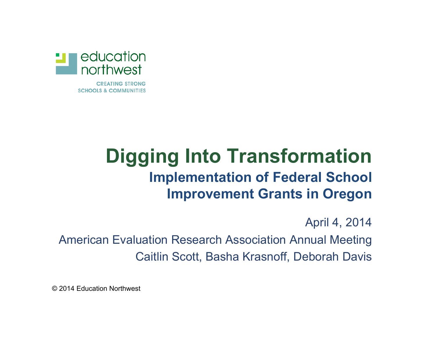

**CREATING STRONG SCHOOLS & COMMUNITIES** 

### **Digging Into Transformation Implementation of Federal School Improvement Grants in Oregon**

April 4, 2014

American Evaluation Research Association Annual Meeting Caitlin Scott, Basha Krasnoff, Deborah Davis

© 2014 Education Northwest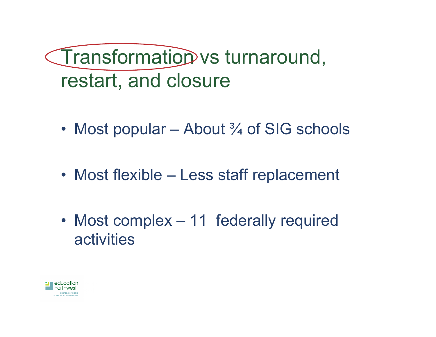Transformation vs turnaround, restart, and closure

- Most popular About <sup>3</sup>/<sub>4</sub> of SIG schools
- Most flexible Less staff replacement
- Most complex 11 federally required activities

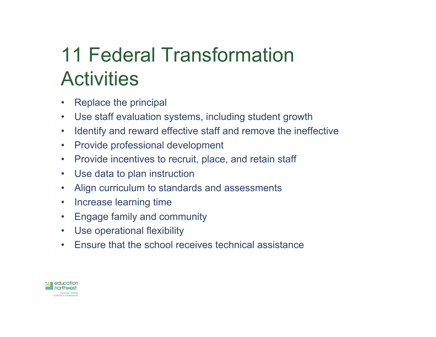# 11 Federal Transformation **Activities**

- Replace the principal
- Use staff evaluation systems, including student growth
- Identify and reward effective staff and remove the ineffective
- Provide professional development
- Provide incentives to recruit, place, and retain staff
- Use data to plan instruction
- Align curriculum to standards and assessments
- Increase learning time
- Engage family and community
- Use operational flexibility
- Ensure that the school receives technical assistance

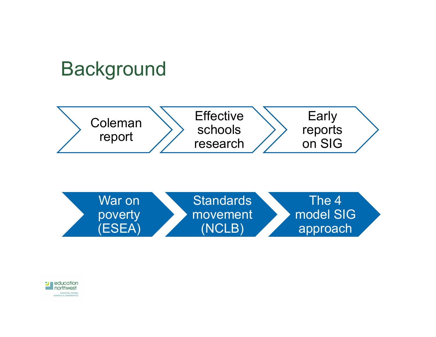# **Background**



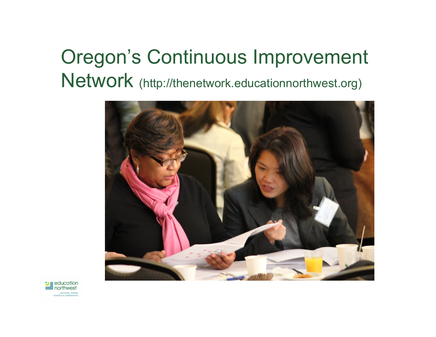# Oregon's Continuous Improvement Network (http://thenetwork.educationnorthwest.org)



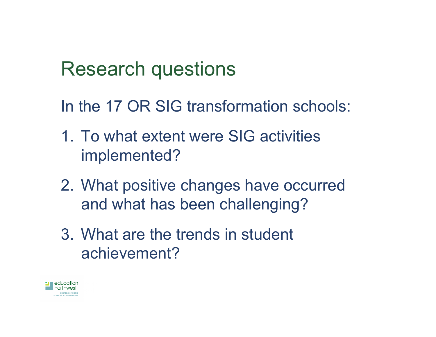## Research questions

In the 17 OR SIG transformation schools:

- 1. To what extent were SIG activities implemented?
- 2. What positive changes have occurred and what has been challenging?
- 3. What are the trends in student achievement?

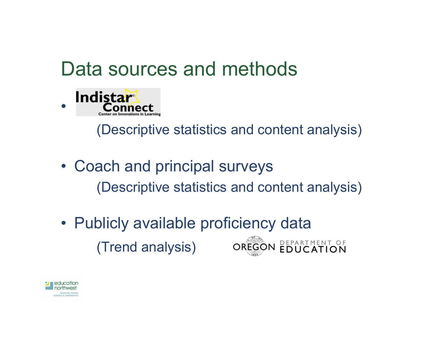## Data sources and methods



(Descriptive statistics and content analysis)

- Coach and principal surveys (Descriptive statistics and content analysis)
- Publicly available proficiency data DEPARTMENT OF (Trend analysis)OREGON

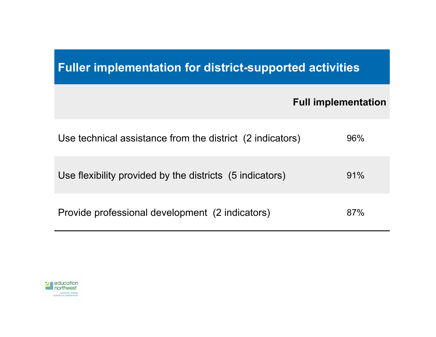### **Fuller implementation for district-supported activities**

#### **Full implementation**

| Use technical assistance from the district (2 indicators) | 96% |
|-----------------------------------------------------------|-----|
| Use flexibility provided by the districts (5 indicators)  | 91% |
| Provide professional development (2 indicators)           | 87% |

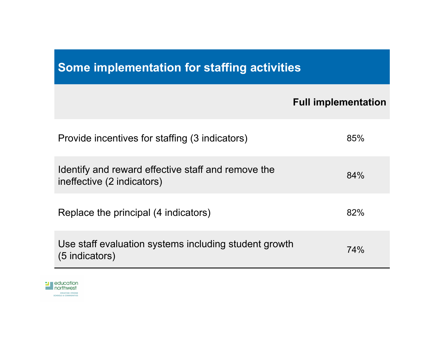### **Some implementation for staffing activities**

#### **Full implementation**

| Provide incentives for staffing (3 indicators)                                   | 85% |
|----------------------------------------------------------------------------------|-----|
| Identify and reward effective staff and remove the<br>ineffective (2 indicators) | 84% |
| Replace the principal (4 indicators)                                             | 82% |
| Use staff evaluation systems including student growth<br>(5 indicators)          | 74% |

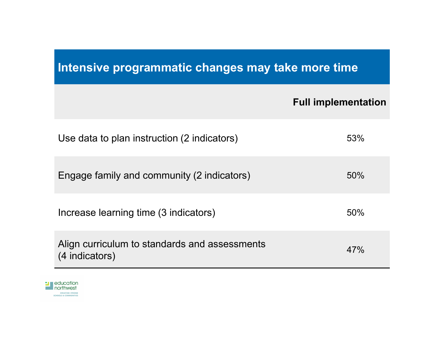### **Intensive programmatic changes may take more time**

#### **Full implementation**

| Use data to plan instruction (2 indicators)                     | 53% |
|-----------------------------------------------------------------|-----|
| Engage family and community (2 indicators)                      | 50% |
| Increase learning time (3 indicators)                           | 50% |
| Align curriculum to standards and assessments<br>(4 indicators) | 47% |

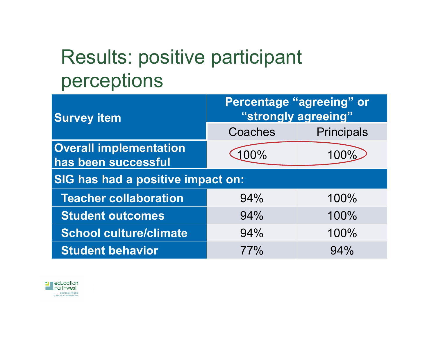# Results: positive participant perceptions

| <b>Survey item</b>                                   | <b>Percentage "agreeing" or</b><br>"strongly agreeing" |                   |  |  |
|------------------------------------------------------|--------------------------------------------------------|-------------------|--|--|
|                                                      | Coaches                                                | <b>Principals</b> |  |  |
| <b>Overall implementation</b><br>has been successful | 100%                                                   | 100%              |  |  |
| <b>SIG has had a positive impact on:</b>             |                                                        |                   |  |  |
| <b>Teacher collaboration</b>                         | 94%                                                    | 100%              |  |  |
| <b>Student outcomes</b>                              | 94%                                                    | 100%              |  |  |
| <b>School culture/climate</b>                        | 94%                                                    | 100%              |  |  |
| <b>Student behavior</b>                              | 77%                                                    | 94%               |  |  |

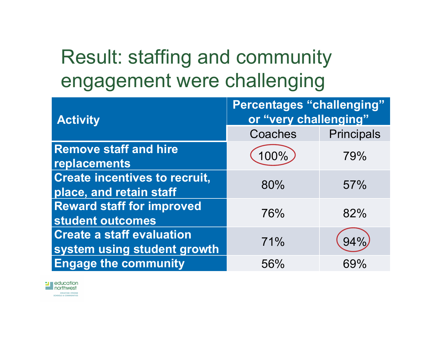# Result: staffing and community engagement were challenging

| <b>Activity</b>                                                 | <b>Percentages "challenging"</b><br>or "very challenging" |                   |
|-----------------------------------------------------------------|-----------------------------------------------------------|-------------------|
|                                                                 | Coaches                                                   | <b>Principals</b> |
| <b>Remove staff and hire</b><br>replacements                    | 100%                                                      | 79%               |
| <b>Create incentives to recruit,</b><br>place, and retain staff | 80%                                                       | 57%               |
| <b>Reward staff for improved</b><br>student outcomes            | 76%                                                       | 82%               |
| <b>Create a staff evaluation</b><br>system using student growth | 71%                                                       | 94%               |
| <b>Engage the community</b>                                     | 56%                                                       | 69%               |

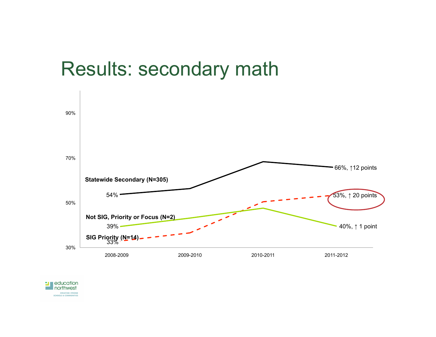

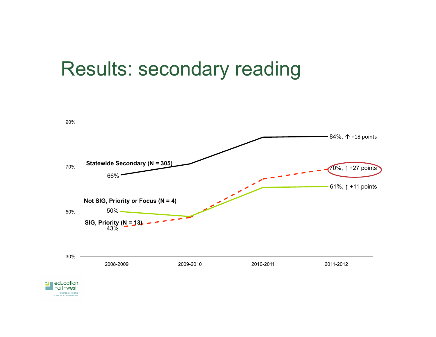### Results: secondary reading



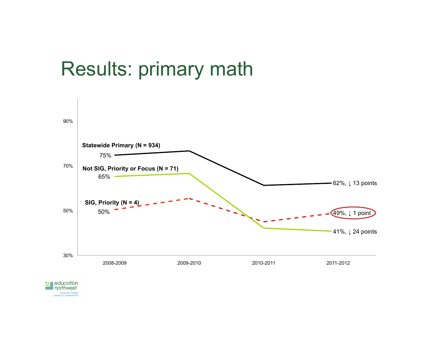## Results: primary math



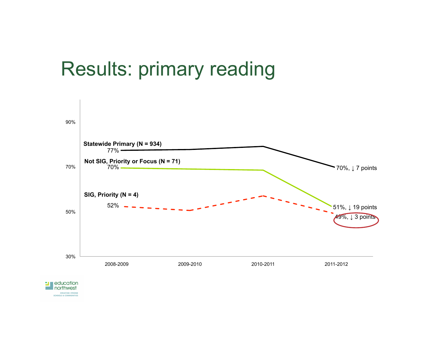## Results: primary reading



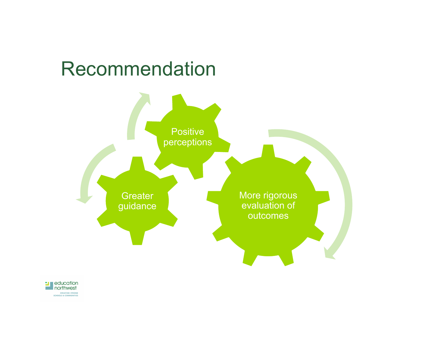## Recommendation



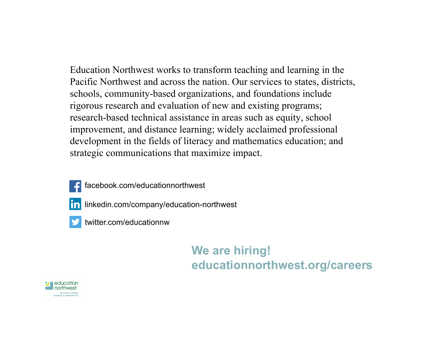Education Northwest works to transform teaching and learning in the Pacific Northwest and across the nation. Our services to states, districts, schools, community-based organizations, and foundations include rigorous research and evaluation of new and existing programs; research-based technical assistance in areas such as equity, school improvement, and distance learning; widely acclaimed professional development in the fields of literacy and mathematics education; and strategic communications that maximize impact.



- facebook.com/educationnorthwest
- In linkedin.com/company/education-northwest
	- twitter.com/educationnw

#### **We are hiring! educationnorthwest.org/careers**